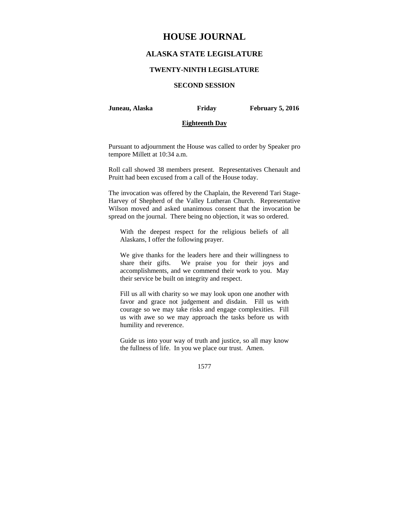# **HOUSE JOURNAL**

## **ALASKA STATE LEGISLATURE**

### **TWENTY-NINTH LEGISLATURE**

## **SECOND SESSION**

**Juneau, Alaska Friday February 5, 2016** 

#### **Eighteenth Day**

Pursuant to adjournment the House was called to order by Speaker pro tempore Millett at 10:34 a.m.

Roll call showed 38 members present. Representatives Chenault and Pruitt had been excused from a call of the House today.

The invocation was offered by the Chaplain, the Reverend Tari Stage-Harvey of Shepherd of the Valley Lutheran Church. Representative Wilson moved and asked unanimous consent that the invocation be spread on the journal. There being no objection, it was so ordered.

With the deepest respect for the religious beliefs of all Alaskans, I offer the following prayer.

We give thanks for the leaders here and their willingness to share their gifts. We praise you for their joys and accomplishments, and we commend their work to you. May their service be built on integrity and respect.

Fill us all with charity so we may look upon one another with favor and grace not judgement and disdain. Fill us with courage so we may take risks and engage complexities. Fill us with awe so we may approach the tasks before us with humility and reverence.

Guide us into your way of truth and justice, so all may know the fullness of life. In you we place our trust. Amen.

1577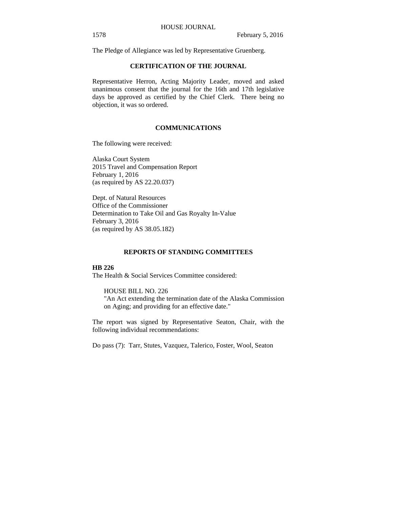The Pledge of Allegiance was led by Representative Gruenberg.

#### **CERTIFICATION OF THE JOURNAL**

Representative Herron, Acting Majority Leader, moved and asked unanimous consent that the journal for the 16th and 17th legislative days be approved as certified by the Chief Clerk. There being no objection, it was so ordered.

### **COMMUNICATIONS**

The following were received:

Alaska Court System 2015 Travel and Compensation Report February 1, 2016 (as required by AS 22.20.037)

Dept. of Natural Resources Office of the Commissioner Determination to Take Oil and Gas Royalty In-Value February 3, 2016 (as required by AS 38.05.182)

## **REPORTS OF STANDING COMMITTEES**

## **HB 226**

The Health & Social Services Committee considered:

## HOUSE BILL NO. 226

"An Act extending the termination date of the Alaska Commission on Aging; and providing for an effective date."

The report was signed by Representative Seaton, Chair, with the following individual recommendations:

Do pass (7): Tarr, Stutes, Vazquez, Talerico, Foster, Wool, Seaton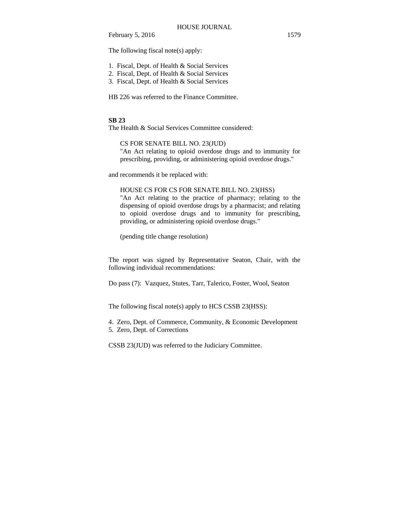The following fiscal note(s) apply:

- 1. Fiscal, Dept. of Health & Social Services
- 2. Fiscal, Dept. of Health & Social Services
- 3. Fiscal, Dept. of Health & Social Services

HB 226 was referred to the Finance Committee.

## **SB 23**

The Health & Social Services Committee considered:

CS FOR SENATE BILL NO. 23(JUD)

"An Act relating to opioid overdose drugs and to immunity for prescribing, providing, or administering opioid overdose drugs."

and recommends it be replaced with:

HOUSE CS FOR CS FOR SENATE BILL NO. 23(HSS)

"An Act relating to the practice of pharmacy; relating to the dispensing of opioid overdose drugs by a pharmacist; and relating to opioid overdose drugs and to immunity for prescribing, providing, or administering opioid overdose drugs."

(pending title change resolution)

The report was signed by Representative Seaton, Chair, with the following individual recommendations:

Do pass (7): Vazquez, Stutes, Tarr, Talerico, Foster, Wool, Seaton

The following fiscal note(s) apply to HCS CSSB 23(HSS):

- 4. Zero, Dept. of Commerce, Community, & Economic Development
- 5. Zero, Dept. of Corrections

CSSB 23(JUD) was referred to the Judiciary Committee.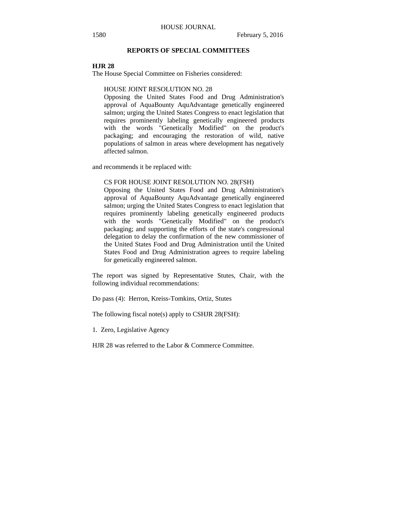## **REPORTS OF SPECIAL COMMITTEES**

#### **HJR 28**

The House Special Committee on Fisheries considered:

## HOUSE JOINT RESOLUTION NO. 28

Opposing the United States Food and Drug Administration's approval of AquaBounty AquAdvantage genetically engineered salmon; urging the United States Congress to enact legislation that requires prominently labeling genetically engineered products with the words "Genetically Modified" on the product's packaging; and encouraging the restoration of wild, native populations of salmon in areas where development has negatively affected salmon.

and recommends it be replaced with:

#### CS FOR HOUSE JOINT RESOLUTION NO. 28(FSH)

Opposing the United States Food and Drug Administration's approval of AquaBounty AquAdvantage genetically engineered salmon; urging the United States Congress to enact legislation that requires prominently labeling genetically engineered products with the words "Genetically Modified" on the product's packaging; and supporting the efforts of the state's congressional delegation to delay the confirmation of the new commissioner of the United States Food and Drug Administration until the United States Food and Drug Administration agrees to require labeling for genetically engineered salmon.

The report was signed by Representative Stutes, Chair, with the following individual recommendations:

Do pass (4): Herron, Kreiss-Tomkins, Ortiz, Stutes

The following fiscal note(s) apply to CSHJR 28(FSH):

1. Zero, Legislative Agency

HJR 28 was referred to the Labor & Commerce Committee.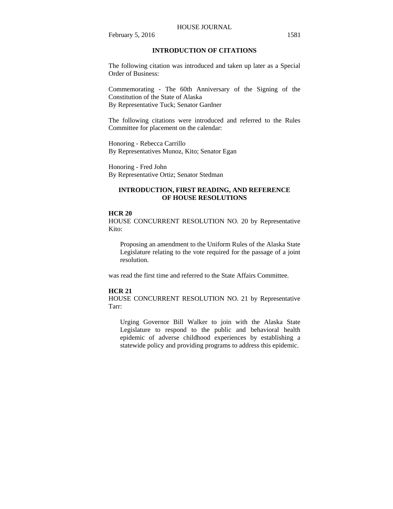#### HOUSE JOURNAL

February 5, 2016 1581

## **INTRODUCTION OF CITATIONS**

The following citation was introduced and taken up later as a Special Order of Business:

Commemorating - The 60th Anniversary of the Signing of the Constitution of the State of Alaska By Representative Tuck; Senator Gardner

The following citations were introduced and referred to the Rules Committee for placement on the calendar:

Honoring - Rebecca Carrillo By Representatives Munoz, Kito; Senator Egan

Honoring - Fred John By Representative Ortiz; Senator Stedman

## **INTRODUCTION, FIRST READING, AND REFERENCE OF HOUSE RESOLUTIONS**

## **HCR 20**

HOUSE CONCURRENT RESOLUTION NO. 20 by Representative Kito:

Proposing an amendment to the Uniform Rules of the Alaska State Legislature relating to the vote required for the passage of a joint resolution.

was read the first time and referred to the State Affairs Committee.

#### **HCR 21**

HOUSE CONCURRENT RESOLUTION NO. 21 by Representative Tarr:

Urging Governor Bill Walker to join with the Alaska State Legislature to respond to the public and behavioral health epidemic of adverse childhood experiences by establishing a statewide policy and providing programs to address this epidemic.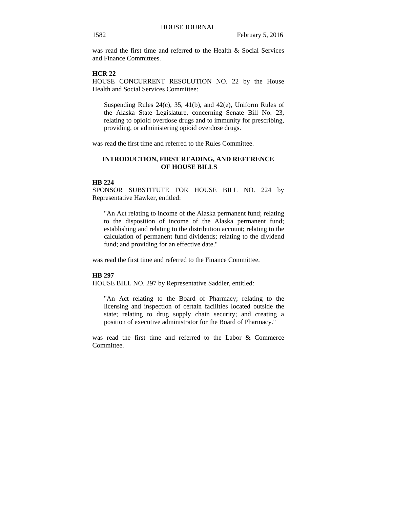was read the first time and referred to the Health & Social Services and Finance Committees.

## **HCR 22**

HOUSE CONCURRENT RESOLUTION NO. 22 by the House Health and Social Services Committee:

Suspending Rules  $24(c)$ ,  $35$ ,  $41(b)$ , and  $42(e)$ , Uniform Rules of the Alaska State Legislature, concerning Senate Bill No. 23, relating to opioid overdose drugs and to immunity for prescribing, providing, or administering opioid overdose drugs.

was read the first time and referred to the Rules Committee.

## **INTRODUCTION, FIRST READING, AND REFERENCE OF HOUSE BILLS**

#### **HB 224**

SPONSOR SUBSTITUTE FOR HOUSE BILL NO. 224 by Representative Hawker, entitled:

"An Act relating to income of the Alaska permanent fund; relating to the disposition of income of the Alaska permanent fund; establishing and relating to the distribution account; relating to the calculation of permanent fund dividends; relating to the dividend fund; and providing for an effective date."

was read the first time and referred to the Finance Committee.

## **HB 297**

HOUSE BILL NO. 297 by Representative Saddler, entitled:

"An Act relating to the Board of Pharmacy; relating to the licensing and inspection of certain facilities located outside the state; relating to drug supply chain security; and creating a position of executive administrator for the Board of Pharmacy."

was read the first time and referred to the Labor & Commerce Committee.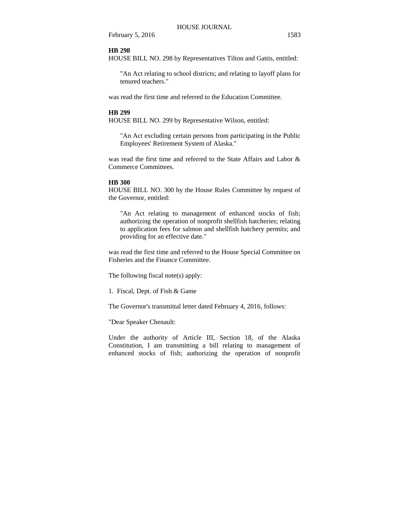#### **HB 298**

HOUSE BILL NO. 298 by Representatives Tilton and Gattis, entitled:

"An Act relating to school districts; and relating to layoff plans for tenured teachers."

was read the first time and referred to the Education Committee.

#### **HB 299**

HOUSE BILL NO. 299 by Representative Wilson, entitled:

"An Act excluding certain persons from participating in the Public Employees' Retirement System of Alaska."

was read the first time and referred to the State Affairs and Labor & Commerce Committees.

#### **HB 300**

HOUSE BILL NO. 300 by the House Rules Committee by request of the Governor, entitled:

"An Act relating to management of enhanced stocks of fish; authorizing the operation of nonprofit shellfish hatcheries; relating to application fees for salmon and shellfish hatchery permits; and providing for an effective date."

was read the first time and referred to the House Special Committee on Fisheries and the Finance Committee.

The following fiscal note(s) apply:

1. Fiscal, Dept. of Fish & Game

The Governor's transmittal letter dated February 4, 2016, follows:

"Dear Speaker Chenault:

Under the authority of Article III, Section 18, of the Alaska Constitution, I am transmitting a bill relating to management of enhanced stocks of fish; authorizing the operation of nonprofit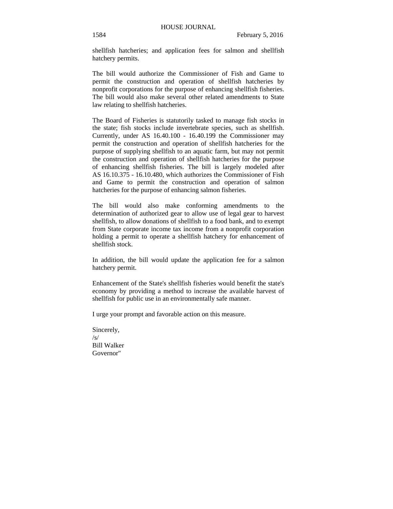shellfish hatcheries; and application fees for salmon and shellfish hatchery permits.

The bill would authorize the Commissioner of Fish and Game to permit the construction and operation of shellfish hatcheries by nonprofit corporations for the purpose of enhancing shellfish fisheries. The bill would also make several other related amendments to State law relating to shellfish hatcheries.

The Board of Fisheries is statutorily tasked to manage fish stocks in the state; fish stocks include invertebrate species, such as shellfish. Currently, under AS 16.40.100 - 16.40.199 the Commissioner may permit the construction and operation of shellfish hatcheries for the purpose of supplying shellfish to an aquatic farm, but may not permit the construction and operation of shellfish hatcheries for the purpose of enhancing shellfish fisheries. The bill is largely modeled after AS 16.10.375 - 16.10.480, which authorizes the Commissioner of Fish and Game to permit the construction and operation of salmon hatcheries for the purpose of enhancing salmon fisheries.

The bill would also make conforming amendments to the determination of authorized gear to allow use of legal gear to harvest shellfish, to allow donations of shellfish to a food bank, and to exempt from State corporate income tax income from a nonprofit corporation holding a permit to operate a shellfish hatchery for enhancement of shellfish stock.

In addition, the bill would update the application fee for a salmon hatchery permit.

Enhancement of the State's shellfish fisheries would benefit the state's economy by providing a method to increase the available harvest of shellfish for public use in an environmentally safe manner.

I urge your prompt and favorable action on this measure.

Sincerely,  $/s/$ Bill Walker Governor"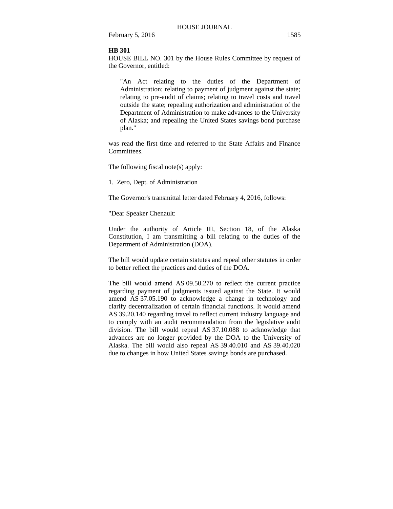#### **HB 301**

HOUSE BILL NO. 301 by the House Rules Committee by request of the Governor, entitled:

"An Act relating to the duties of the Department of Administration; relating to payment of judgment against the state; relating to pre-audit of claims; relating to travel costs and travel outside the state; repealing authorization and administration of the Department of Administration to make advances to the University of Alaska; and repealing the United States savings bond purchase plan."

was read the first time and referred to the State Affairs and Finance Committees.

The following fiscal note(s) apply:

1. Zero, Dept. of Administration

The Governor's transmittal letter dated February 4, 2016, follows:

"Dear Speaker Chenault:

Under the authority of Article III, Section 18, of the Alaska Constitution, I am transmitting a bill relating to the duties of the Department of Administration (DOA).

The bill would update certain statutes and repeal other statutes in order to better reflect the practices and duties of the DOA.

The bill would amend AS 09.50.270 to reflect the current practice regarding payment of judgments issued against the State. It would amend AS 37.05.190 to acknowledge a change in technology and clarify decentralization of certain financial functions. It would amend AS 39.20.140 regarding travel to reflect current industry language and to comply with an audit recommendation from the legislative audit division. The bill would repeal AS 37.10.088 to acknowledge that advances are no longer provided by the DOA to the University of Alaska. The bill would also repeal AS 39.40.010 and AS 39.40.020 due to changes in how United States savings bonds are purchased.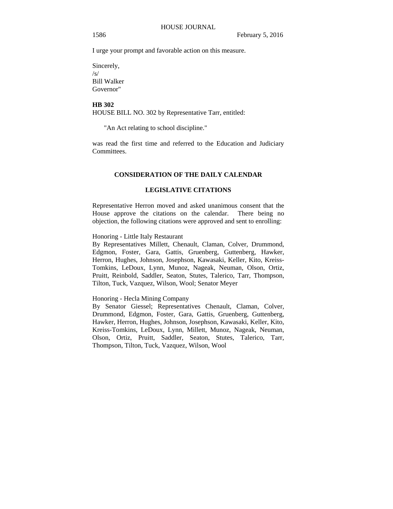I urge your prompt and favorable action on this measure.

Sincerely, /s/ Bill Walker Governor"

## **HB 302**

HOUSE BILL NO. 302 by Representative Tarr, entitled:

"An Act relating to school discipline."

was read the first time and referred to the Education and Judiciary Committees.

## **CONSIDERATION OF THE DAILY CALENDAR**

#### **LEGISLATIVE CITATIONS**

Representative Herron moved and asked unanimous consent that the House approve the citations on the calendar. There being no objection, the following citations were approved and sent to enrolling:

Honoring - Little Italy Restaurant

By Representatives Millett, Chenault, Claman, Colver, Drummond, Edgmon, Foster, Gara, Gattis, Gruenberg, Guttenberg, Hawker, Herron, Hughes, Johnson, Josephson, Kawasaki, Keller, Kito, Kreiss-Tomkins, LeDoux, Lynn, Munoz, Nageak, Neuman, Olson, Ortiz, Pruitt, Reinbold, Saddler, Seaton, Stutes, Talerico, Tarr, Thompson, Tilton, Tuck, Vazquez, Wilson, Wool; Senator Meyer

#### Honoring - Hecla Mining Company

By Senator Giessel; Representatives Chenault, Claman, Colver, Drummond, Edgmon, Foster, Gara, Gattis, Gruenberg, Guttenberg, Hawker, Herron, Hughes, Johnson, Josephson, Kawasaki, Keller, Kito, Kreiss-Tomkins, LeDoux, Lynn, Millett, Munoz, Nageak, Neuman, Olson, Ortiz, Pruitt, Saddler, Seaton, Stutes, Talerico, Tarr, Thompson, Tilton, Tuck, Vazquez, Wilson, Wool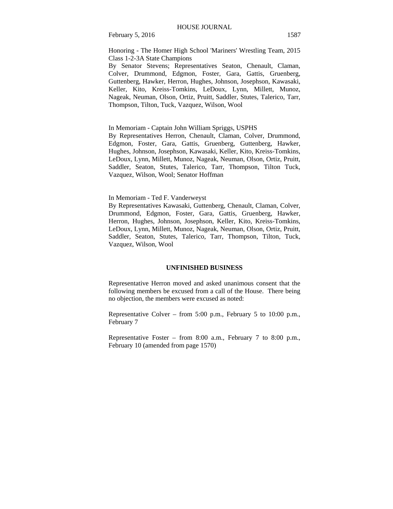Honoring - The Homer High School 'Mariners' Wrestling Team, 2015 Class 1-2-3A State Champions

By Senator Stevens; Representatives Seaton, Chenault, Claman, Colver, Drummond, Edgmon, Foster, Gara, Gattis, Gruenberg, Guttenberg, Hawker, Herron, Hughes, Johnson, Josephson, Kawasaki, Keller, Kito, Kreiss-Tomkins, LeDoux, Lynn, Millett, Munoz, Nageak, Neuman, Olson, Ortiz, Pruitt, Saddler, Stutes, Talerico, Tarr, Thompson, Tilton, Tuck, Vazquez, Wilson, Wool

In Memoriam - Captain John William Spriggs, USPHS

By Representatives Herron, Chenault, Claman, Colver, Drummond, Edgmon, Foster, Gara, Gattis, Gruenberg, Guttenberg, Hawker, Hughes, Johnson, Josephson, Kawasaki, Keller, Kito, Kreiss-Tomkins, LeDoux, Lynn, Millett, Munoz, Nageak, Neuman, Olson, Ortiz, Pruitt, Saddler, Seaton, Stutes, Talerico, Tarr, Thompson, Tilton Tuck, Vazquez, Wilson, Wool; Senator Hoffman

In Memoriam - Ted F. Vanderweyst

By Representatives Kawasaki, Guttenberg, Chenault, Claman, Colver, Drummond, Edgmon, Foster, Gara, Gattis, Gruenberg, Hawker, Herron, Hughes, Johnson, Josephson, Keller, Kito, Kreiss-Tomkins, LeDoux, Lynn, Millett, Munoz, Nageak, Neuman, Olson, Ortiz, Pruitt, Saddler, Seaton, Stutes, Talerico, Tarr, Thompson, Tilton, Tuck, Vazquez, Wilson, Wool

#### **UNFINISHED BUSINESS**

Representative Herron moved and asked unanimous consent that the following members be excused from a call of the House. There being no objection, the members were excused as noted:

Representative Colver – from 5:00 p.m., February 5 to 10:00 p.m., February 7

Representative Foster – from 8:00 a.m., February 7 to 8:00 p.m., February 10 (amended from page 1570)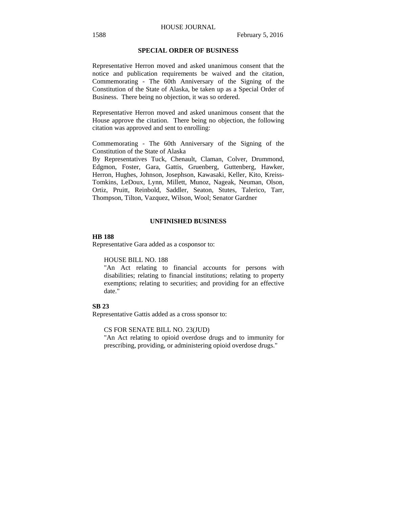## **SPECIAL ORDER OF BUSINESS**

Representative Herron moved and asked unanimous consent that the notice and publication requirements be waived and the citation, Commemorating - The 60th Anniversary of the Signing of the Constitution of the State of Alaska, be taken up as a Special Order of Business. There being no objection, it was so ordered.

Representative Herron moved and asked unanimous consent that the House approve the citation. There being no objection, the following citation was approved and sent to enrolling:

Commemorating - The 60th Anniversary of the Signing of the Constitution of the State of Alaska

By Representatives Tuck, Chenault, Claman, Colver, Drummond, Edgmon, Foster, Gara, Gattis, Gruenberg, Guttenberg, Hawker, Herron, Hughes, Johnson, Josephson, Kawasaki, Keller, Kito, Kreiss-Tomkins, LeDoux, Lynn, Millett, Munoz, Nageak, Neuman, Olson, Ortiz, Pruitt, Reinbold, Saddler, Seaton, Stutes, Talerico, Tarr, Thompson, Tilton, Vazquez, Wilson, Wool; Senator Gardner

#### **UNFINISHED BUSINESS**

## **HB 188**

Representative Gara added as a cosponsor to:

HOUSE BILL NO. 188

"An Act relating to financial accounts for persons with disabilities; relating to financial institutions; relating to property exemptions; relating to securities; and providing for an effective date."

#### **SB 23**

Representative Gattis added as a cross sponsor to:

CS FOR SENATE BILL NO. 23(JUD)

"An Act relating to opioid overdose drugs and to immunity for prescribing, providing, or administering opioid overdose drugs."